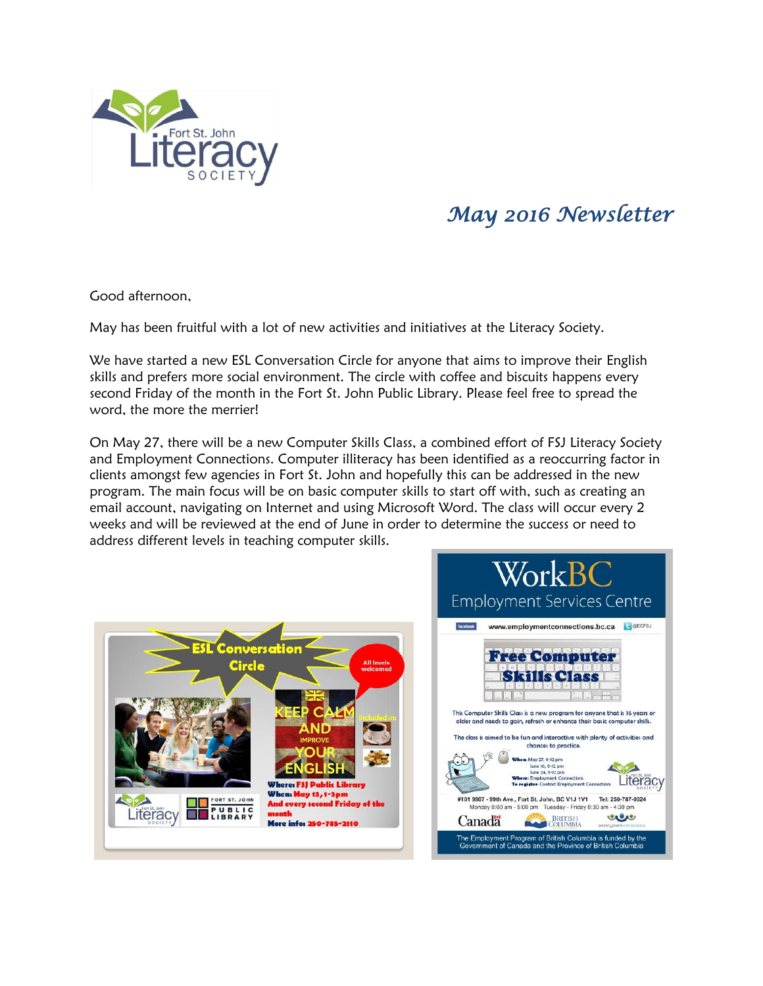

## *May 2016 Newsletter*

Good afternoon,

May has been fruitful with a lot of new activities and initiatives at the Literacy Society.

We have started a new ESL Conversation Circle for anyone that aims to improve their English skills and prefers more social environment. The circle with coffee and biscuits happens every second Friday of the month in the Fort St. John Public Library. Please feel free to spread the word, the more the merrier!

On May 27, there will be a new Computer Skills Class, a combined effort of FSJ Literacy Society and Employment Connections. Computer illiteracy has been identified as a reoccurring factor in clients amongst few agencies in Fort St. John and hopefully this can be addressed in the new program. The main focus will be on basic computer skills to start off with, such as creating an email account, navigating on Internet and using Microsoft Word. The class will occur every 2 weeks and will be reviewed at the end of June in order to determine the success or need to address different levels in teaching computer skills.